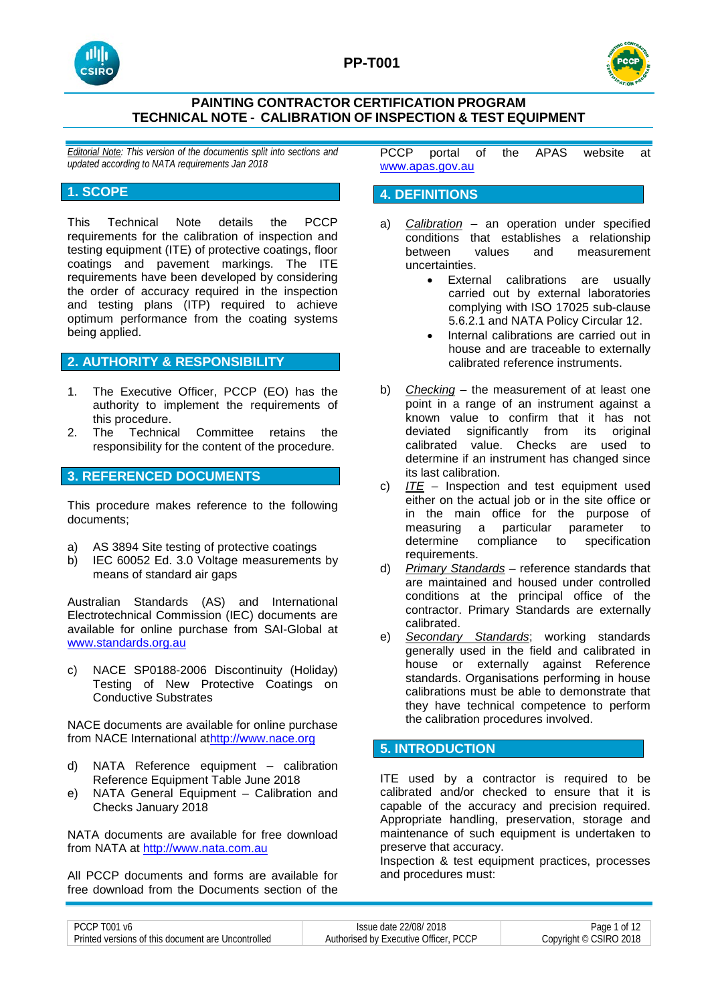





*Editorial Note: This version of the documentis split into sections and updated according to NATA requirements Jan 2018*

# **1. SCOPE**

This Technical Note details the PCCP requirements for the calibration of inspection and testing equipment (ITE) of protective coatings, floor coatings and pavement markings. The ITE requirements have been developed by considering the order of accuracy required in the inspection and testing plans (ITP) required to achieve optimum performance from the coating systems being applied.

# **2. AUTHORITY & RESPONSIBILITY**

- 1. The Executive Officer, PCCP (EO) has the authority to implement the requirements of this procedure.
- 2. The Technical Committee retains the responsibility for the content of the procedure.

# **3. REFERENCED DOCUMENTS**

This procedure makes reference to the following documents;

- a) AS 3894 Site testing of protective coatings
- b) IEC 60052 Ed. 3.0 Voltage measurements by means of standard air gaps

Australian Standards (AS) and International Electrotechnical Commission (IEC) documents are available for online purchase from SAI-Global at [www.standards.org.au](http://www.standards.org.au/)

c) NACE SP0188-2006 Discontinuity (Holiday) Testing of New Protective Coatings on Conductive Substrates

NACE documents are available for online purchase from NACE International a[thttp://www.nace.org](http://www.nace.org/)

- d) NATA Reference equipment calibration Reference Equipment Table June 2018
- e) NATA General Equipment Calibration and Checks January 2018

NATA documents are available for free download from NATA at [http://www.nata.com.au](http://www.nata.com.au/)

All PCCP documents and forms are available for free download from the Documents section of the PCCP portal of the APAS website at [www.apas.gov.au](http://www.apas.gov.au/)

## **4. DEFINITIONS**

- a) *Calibration* an operation under specified conditions that establishes a relationship between values and measurement uncertainties.
	- External calibrations are usually carried out by external laboratories complying with ISO 17025 sub-clause 5.6.2.1 and NATA Policy Circular 12.
	- Internal calibrations are carried out in house and are traceable to externally calibrated reference instruments.
- b) *Checking* the measurement of at least one point in a range of an instrument against a known value to confirm that it has not deviated significantly from its original calibrated value. Checks are used to determine if an instrument has changed since its last calibration.
- c) *ITE* Inspection and test equipment used either on the actual job or in the site office or in the main office for the purpose of measuring a particular parameter to determine compliance to specification requirements.
- d) *Primary Standards* reference standards that are maintained and housed under controlled conditions at the principal office of the contractor. Primary Standards are externally calibrated.
- e) *Secondary Standards*; working standards generally used in the field and calibrated in house or externally against Reference standards. Organisations performing in house calibrations must be able to demonstrate that they have technical competence to perform the calibration procedures involved.

# **5. INTRODUCTION**

ITE used by a contractor is required to be calibrated and/or checked to ensure that it is capable of the accuracy and precision required. Appropriate handling, preservation, storage and maintenance of such equipment is undertaken to preserve that accuracy.

Inspection & test equipment practices, processes and procedures must:

| PCCP T001 v6                                       | Issue date 22/08/2018                 | Page<br>0t             |
|----------------------------------------------------|---------------------------------------|------------------------|
| Printed versions of this document are Uncontrolled | Authorised by Executive Officer, PCCP | Copyright © CSIRO 2018 |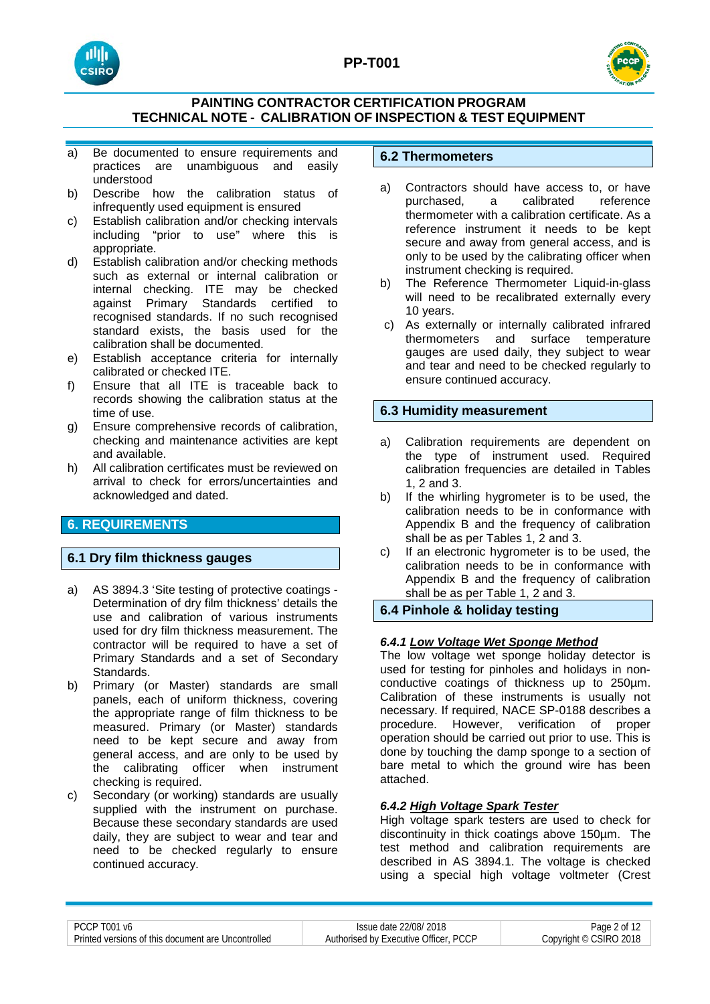



- a) Be documented to ensure requirements and practices are unambiguous and easily understood
- b) Describe how the calibration status of infrequently used equipment is ensured
- c) Establish calibration and/or checking intervals including "prior to use" where this is appropriate.
- d) Establish calibration and/or checking methods such as external or internal calibration or internal checking. ITE may be checked against Primary Standards certified to recognised standards. If no such recognised standard exists, the basis used for the calibration shall be documented.
- e) Establish acceptance criteria for internally calibrated or checked ITE.
- f) Ensure that all ITE is traceable back to records showing the calibration status at the time of use.
- g) Ensure comprehensive records of calibration, checking and maintenance activities are kept and available.
- h) All calibration certificates must be reviewed on arrival to check for errors/uncertainties and acknowledged and dated.

# **6. REQUIREMENTS**

# **6.1 Dry film thickness gauges**

- a) AS 3894.3 'Site testing of protective coatings Determination of dry film thickness' details the use and calibration of various instruments used for dry film thickness measurement. The contractor will be required to have a set of Primary Standards and a set of Secondary Standards.
- b) Primary (or Master) standards are small panels, each of uniform thickness, covering the appropriate range of film thickness to be measured. Primary (or Master) standards need to be kept secure and away from general access, and are only to be used by the calibrating officer when instrument checking is required.
- c) Secondary (or working) standards are usually supplied with the instrument on purchase. Because these secondary standards are used daily, they are subject to wear and tear and need to be checked regularly to ensure continued accuracy.

## **6.2 Thermometers**

- a) Contractors should have access to, or have<br>purchased. a calibrated reference purchased. thermometer with a calibration certificate. As a reference instrument it needs to be kept secure and away from general access, and is only to be used by the calibrating officer when instrument checking is required.
- b) The Reference Thermometer Liquid-in-glass will need to be recalibrated externally every 10 years.
- c) As externally or internally calibrated infrared surface temperature gauges are used daily, they subject to wear and tear and need to be checked regularly to ensure continued accuracy.

# **6.3 Humidity measurement**

- a) Calibration requirements are dependent on the type of instrument used. Required calibration frequencies are detailed in Tables 1, 2 and 3.
- b) If the whirling hygrometer is to be used, the calibration needs to be in conformance with Appendix B and the frequency of calibration shall be as per Tables 1, 2 and 3.
- c) If an electronic hygrometer is to be used, the calibration needs to be in conformance with Appendix B and the frequency of calibration shall be as per Table 1, 2 and 3.

# **6.4 Pinhole & holiday testing**

### *6.4.1 Low Voltage Wet Sponge Method*

The low voltage wet sponge holiday detector is used for testing for pinholes and holidays in nonconductive coatings of thickness up to 250µm. Calibration of these instruments is usually not necessary. If required, NACE SP-0188 describes a procedure. However, verification of proper operation should be carried out prior to use. This is done by touching the damp sponge to a section of bare metal to which the ground wire has been attached.

### *6.4.2 High Voltage Spark Tester*

High voltage spark testers are used to check for discontinuity in thick coatings above 150µm. The test method and calibration requirements are described in AS 3894.1. The voltage is checked using a special high voltage voltmeter (Crest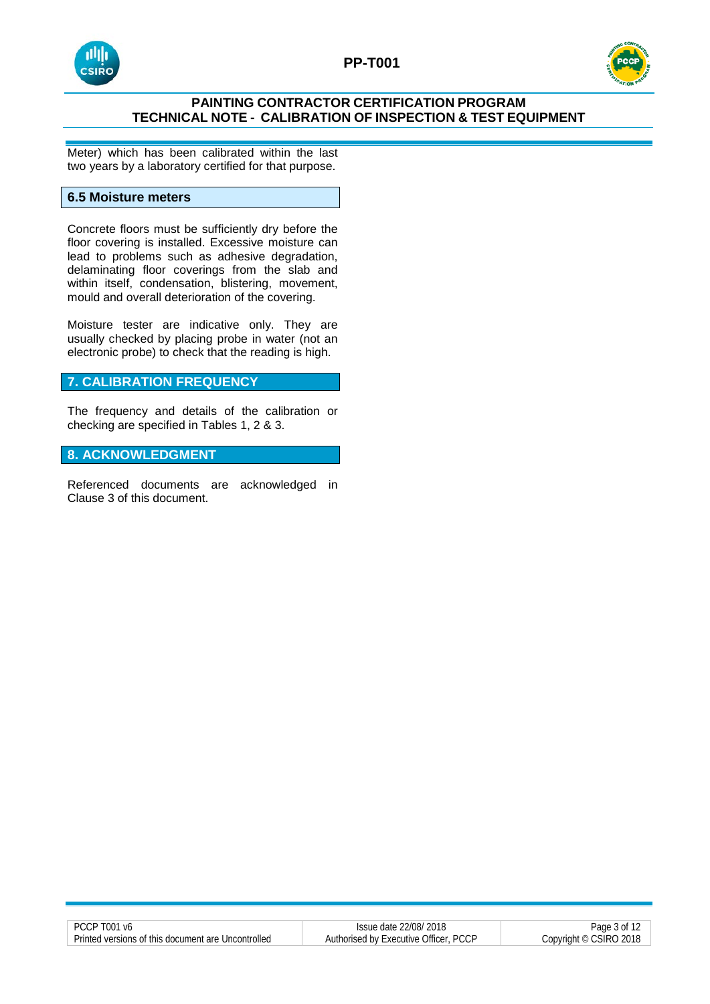



Meter) which has been calibrated within the last two years by a laboratory certified for that purpose.

## **6.5 Moisture meters**

Concrete floors must be sufficiently dry before the floor covering is installed. Excessive moisture can lead to problems such as adhesive degradation, delaminating floor coverings from the slab and within itself, condensation, blistering, movement, mould and overall deterioration of the covering.

Moisture tester are indicative only. They are usually checked by placing probe in water (not an electronic probe) to check that the reading is high.

# **7. CALIBRATION FREQUENCY**

The frequency and details of the calibration or checking are specified in Tables 1, 2 & 3.

# **8. ACKNOWLEDGMENT**

Referenced documents are acknowledged in Clause 3 of this document.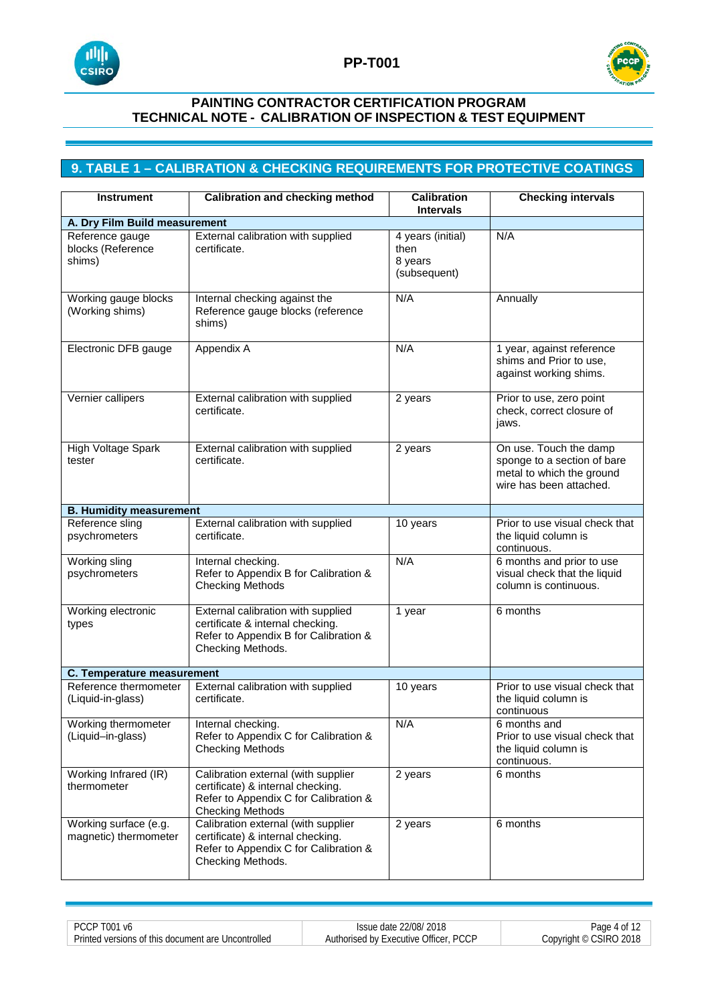



# **9. TABLE 1 – CALIBRATION & CHECKING REQUIREMENTS FOR PROTECTIVE COATINGS**

| <b>Instrument</b>                              | <b>Calibration and checking method</b>                                                                                                       | <b>Calibration</b><br><b>Intervals</b>               | <b>Checking intervals</b>                                                                                     |
|------------------------------------------------|----------------------------------------------------------------------------------------------------------------------------------------------|------------------------------------------------------|---------------------------------------------------------------------------------------------------------------|
| A. Dry Film Build measurement                  |                                                                                                                                              |                                                      |                                                                                                               |
| Reference gauge<br>blocks (Reference<br>shims) | External calibration with supplied<br>certificate.                                                                                           | 4 years (initial)<br>then<br>8 years<br>(subsequent) | N/A                                                                                                           |
| Working gauge blocks<br>(Working shims)        | Internal checking against the<br>Reference gauge blocks (reference<br>shims)                                                                 | N/A                                                  | Annually                                                                                                      |
| Electronic DFB gauge                           | Appendix A                                                                                                                                   | N/A                                                  | 1 year, against reference<br>shims and Prior to use,<br>against working shims.                                |
| Vernier callipers                              | External calibration with supplied<br>certificate.                                                                                           | 2 years                                              | Prior to use, zero point<br>check, correct closure of<br>jaws.                                                |
| High Voltage Spark<br>tester                   | External calibration with supplied<br>certificate.                                                                                           | 2 years                                              | On use. Touch the damp<br>sponge to a section of bare<br>metal to which the ground<br>wire has been attached. |
| <b>B. Humidity measurement</b>                 |                                                                                                                                              |                                                      |                                                                                                               |
| Reference sling<br>psychrometers               | External calibration with supplied<br>certificate.                                                                                           | 10 years                                             | Prior to use visual check that<br>the liquid column is<br>continuous.                                         |
| Working sling<br>psychrometers                 | Internal checking.<br>Refer to Appendix B for Calibration &<br><b>Checking Methods</b>                                                       | N/A                                                  | 6 months and prior to use<br>visual check that the liquid<br>column is continuous.                            |
| Working electronic<br>types                    | External calibration with supplied<br>certificate & internal checking.<br>Refer to Appendix B for Calibration &<br>Checking Methods.         | 1 year                                               | 6 months                                                                                                      |
| <b>C. Temperature measurement</b>              |                                                                                                                                              |                                                      |                                                                                                               |
| Reference thermometer<br>(Liquid-in-glass)     | External calibration with supplied<br>certificate.                                                                                           | 10 years                                             | Prior to use visual check that<br>the liquid column is<br>continuous                                          |
| Working thermometer<br>(Liquid-in-glass)       | Internal checking.<br>Refer to Appendix C for Calibration &<br><b>Checking Methods</b>                                                       | N/A                                                  | 6 months and<br>Prior to use visual check that<br>the liquid column is<br>continuous.                         |
| Working Infrared (IR)<br>thermometer           | Calibration external (with supplier<br>certificate) & internal checking.<br>Refer to Appendix C for Calibration &<br><b>Checking Methods</b> | 2 years                                              | 6 months                                                                                                      |
| Working surface (e.g.<br>magnetic) thermometer | Calibration external (with supplier<br>certificate) & internal checking.<br>Refer to Appendix C for Calibration &<br>Checking Methods.       | 2 years                                              | 6 months                                                                                                      |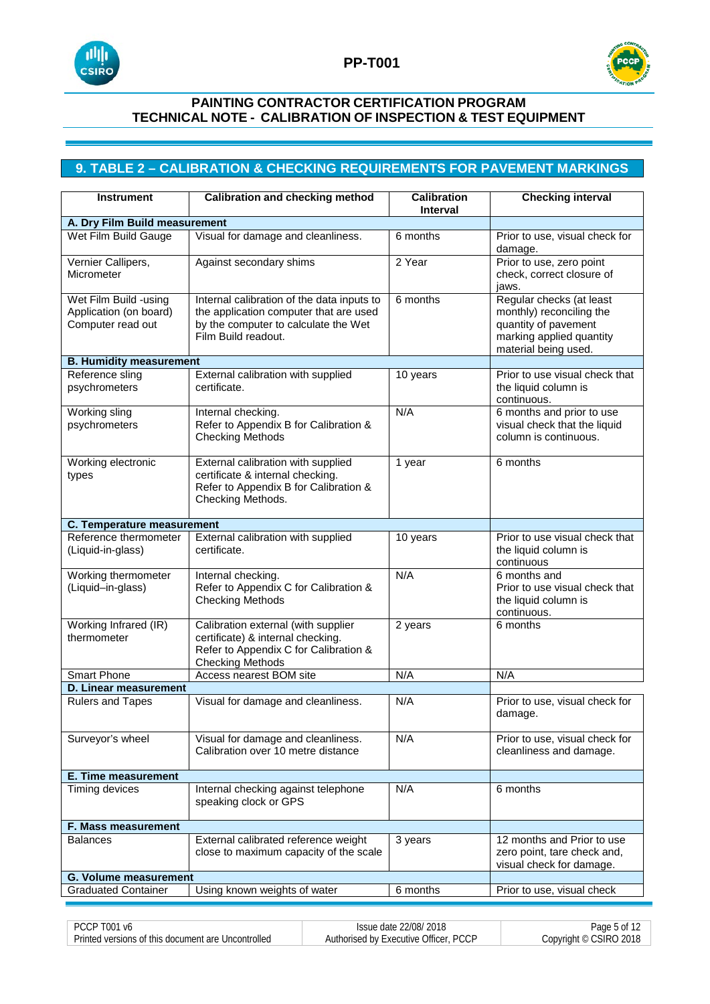



# **9. TABLE 2 – CALIBRATION & CHECKING REQUIREMENTS FOR PAVEMENT MARKINGS**

| <b>Instrument</b>                                                    | <b>Calibration and checking method</b>                                                                                                              | <b>Calibration</b><br><b>Interval</b> | <b>Checking interval</b>                                                                                                         |
|----------------------------------------------------------------------|-----------------------------------------------------------------------------------------------------------------------------------------------------|---------------------------------------|----------------------------------------------------------------------------------------------------------------------------------|
| A. Dry Film Build measurement                                        |                                                                                                                                                     |                                       |                                                                                                                                  |
| Wet Film Build Gauge                                                 | Visual for damage and cleanliness.                                                                                                                  | 6 months                              | Prior to use, visual check for<br>damage.                                                                                        |
| Vernier Callipers,<br>Micrometer                                     | Against secondary shims                                                                                                                             | 2 Year                                | Prior to use, zero point<br>check, correct closure of<br>jaws.                                                                   |
| Wet Film Build -using<br>Application (on board)<br>Computer read out | Internal calibration of the data inputs to<br>the application computer that are used<br>by the computer to calculate the Wet<br>Film Build readout. | 6 months                              | Regular checks (at least<br>monthly) reconciling the<br>quantity of pavement<br>marking applied quantity<br>material being used. |
| <b>B. Humidity measurement</b>                                       |                                                                                                                                                     |                                       |                                                                                                                                  |
| Reference sling<br>psychrometers                                     | External calibration with supplied<br>certificate.                                                                                                  | 10 years                              | Prior to use visual check that<br>the liquid column is<br>continuous.                                                            |
| Working sling<br>psychrometers                                       | Internal checking.<br>Refer to Appendix B for Calibration &<br><b>Checking Methods</b>                                                              | N/A                                   | 6 months and prior to use<br>visual check that the liquid<br>column is continuous.                                               |
| Working electronic<br>types                                          | External calibration with supplied<br>certificate & internal checking.<br>Refer to Appendix B for Calibration &<br>Checking Methods.                | 1 year                                | 6 months                                                                                                                         |
| C. Temperature measurement                                           |                                                                                                                                                     |                                       |                                                                                                                                  |
| Reference thermometer<br>(Liquid-in-glass)                           | External calibration with supplied<br>certificate.                                                                                                  | 10 years                              | Prior to use visual check that<br>the liquid column is<br>continuous                                                             |
| Working thermometer<br>(Liquid-in-glass)                             | Internal checking.<br>Refer to Appendix C for Calibration &<br><b>Checking Methods</b>                                                              | N/A                                   | 6 months and<br>Prior to use visual check that<br>the liquid column is<br>continuous.                                            |
| Working Infrared (IR)<br>thermometer                                 | Calibration external (with supplier<br>certificate) & internal checking.<br>Refer to Appendix C for Calibration &<br><b>Checking Methods</b>        | 2 years                               | 6 months                                                                                                                         |
| <b>Smart Phone</b>                                                   | Access nearest BOM site                                                                                                                             | N/A                                   | N/A                                                                                                                              |
| <b>D. Linear measurement</b>                                         |                                                                                                                                                     |                                       |                                                                                                                                  |
| <b>Rulers and Tapes</b>                                              | Visual for damage and cleanliness.                                                                                                                  | N/A                                   | Prior to use, visual check for<br>damage.                                                                                        |
| Surveyor's wheel                                                     | Visual for damage and cleanliness.<br>Calibration over 10 metre distance                                                                            | N/A                                   | Prior to use, visual check for<br>cleanliness and damage.                                                                        |
| <b>E. Time measurement</b>                                           |                                                                                                                                                     |                                       |                                                                                                                                  |
| Timing devices                                                       | Internal checking against telephone<br>speaking clock or GPS                                                                                        | N/A                                   | 6 months                                                                                                                         |
| F. Mass measurement                                                  |                                                                                                                                                     |                                       |                                                                                                                                  |
| <b>Balances</b>                                                      | External calibrated reference weight<br>close to maximum capacity of the scale                                                                      | 3 years                               | 12 months and Prior to use<br>zero point, tare check and,<br>visual check for damage.                                            |
| <b>G. Volume measurement</b>                                         |                                                                                                                                                     |                                       |                                                                                                                                  |
| <b>Graduated Container</b>                                           | Using known weights of water                                                                                                                        | 6 months                              | Prior to use, visual check                                                                                                       |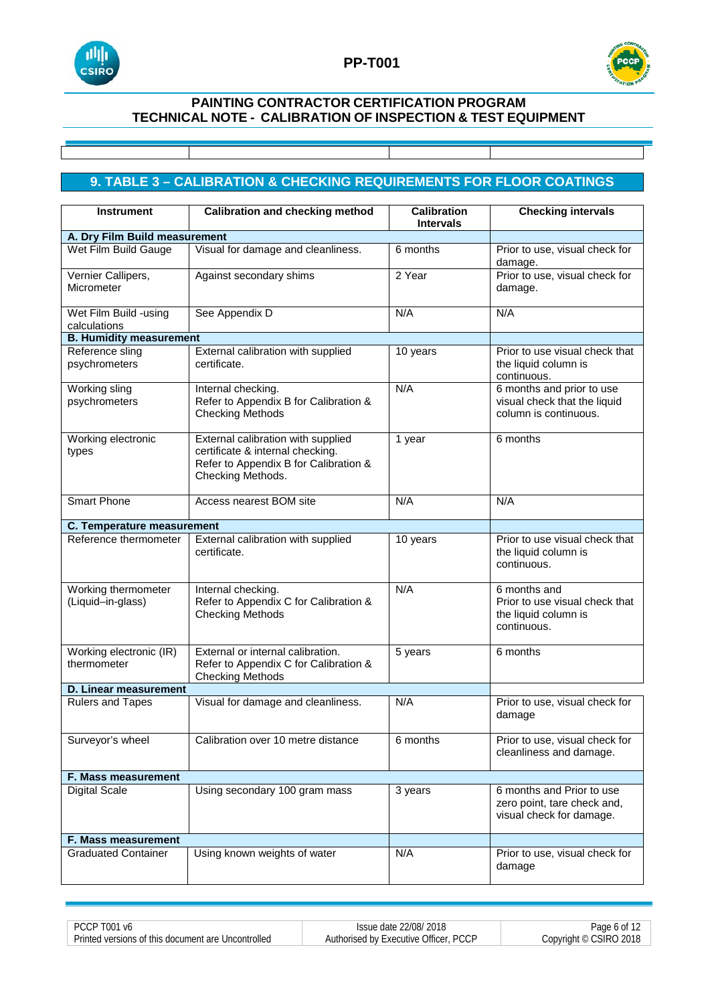



# **9. TABLE 3 – CALIBRATION & CHECKING REQUIREMENTS FOR FLOOR COATINGS**

| <b>Instrument</b>                        | <b>Calibration and checking method</b>                                                                                               | <b>Calibration</b><br><b>Intervals</b> | <b>Checking intervals</b>                                                             |
|------------------------------------------|--------------------------------------------------------------------------------------------------------------------------------------|----------------------------------------|---------------------------------------------------------------------------------------|
| A. Dry Film Build measurement            |                                                                                                                                      |                                        |                                                                                       |
| Wet Film Build Gauge                     | Visual for damage and cleanliness.                                                                                                   | 6 months                               | Prior to use, visual check for<br>damage.                                             |
| Vernier Callipers,<br>Micrometer         | Against secondary shims                                                                                                              | 2 Year                                 | Prior to use, visual check for<br>damage.                                             |
| Wet Film Build -using<br>calculations    | See Appendix D                                                                                                                       | N/A                                    | N/A                                                                                   |
| <b>B. Humidity measurement</b>           |                                                                                                                                      |                                        |                                                                                       |
| Reference sling<br>psychrometers         | External calibration with supplied<br>certificate.                                                                                   | 10 years                               | Prior to use visual check that<br>the liquid column is<br>continuous.                 |
| Working sling<br>psychrometers           | Internal checking.<br>Refer to Appendix B for Calibration &<br><b>Checking Methods</b>                                               | N/A                                    | 6 months and prior to use<br>visual check that the liquid<br>column is continuous.    |
| Working electronic<br>types              | External calibration with supplied<br>certificate & internal checking.<br>Refer to Appendix B for Calibration &<br>Checking Methods. | 1 year                                 | 6 months                                                                              |
| <b>Smart Phone</b>                       | Access nearest BOM site                                                                                                              | N/A                                    | N/A                                                                                   |
| C. Temperature measurement               |                                                                                                                                      |                                        |                                                                                       |
| Reference thermometer                    | External calibration with supplied<br>certificate.                                                                                   | 10 years                               | Prior to use visual check that<br>the liquid column is<br>continuous.                 |
| Working thermometer<br>(Liquid-in-glass) | Internal checking.<br>Refer to Appendix C for Calibration &<br><b>Checking Methods</b>                                               | N/A                                    | 6 months and<br>Prior to use visual check that<br>the liquid column is<br>continuous. |
| Working electronic (IR)<br>thermometer   | External or internal calibration.<br>Refer to Appendix C for Calibration &<br><b>Checking Methods</b>                                | 5 years                                | 6 months                                                                              |
| D. Linear measurement                    |                                                                                                                                      |                                        |                                                                                       |
| <b>Rulers and Tapes</b>                  | Visual for damage and cleanliness.                                                                                                   | N/A                                    | Prior to use, visual check for<br>damage                                              |
| Surveyor's wheel                         | Calibration over 10 metre distance                                                                                                   | 6 months                               | Prior to use, visual check for<br>cleanliness and damage.                             |
| F. Mass measurement                      |                                                                                                                                      |                                        |                                                                                       |
| <b>Digital Scale</b>                     | Using secondary 100 gram mass                                                                                                        | 3 years                                | 6 months and Prior to use<br>zero point, tare check and,<br>visual check for damage.  |
| F. Mass measurement                      |                                                                                                                                      |                                        |                                                                                       |
| <b>Graduated Container</b>               | Using known weights of water                                                                                                         | N/A                                    | Prior to use, visual check for<br>damage                                              |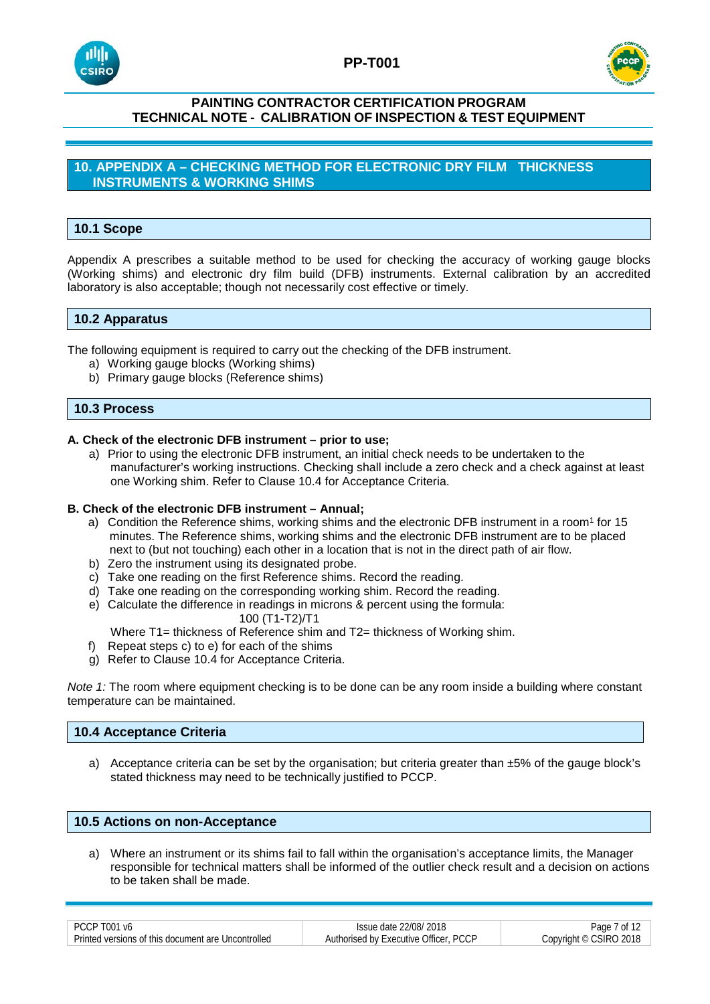



# **10. APPENDIX A – CHECKING METHOD FOR ELECTRONIC DRY FILM THICKNESS INSTRUMENTS & WORKING SHIMS**

# **10.1 Scope**

Appendix A prescribes a suitable method to be used for checking the accuracy of working gauge blocks (Working shims) and electronic dry film build (DFB) instruments. External calibration by an accredited laboratory is also acceptable; though not necessarily cost effective or timely.

# **10.2 Apparatus**

The following equipment is required to carry out the checking of the DFB instrument.

- a) Working gauge blocks (Working shims)
- b) Primary gauge blocks (Reference shims)

### **10.3 Process**

#### **A. Check of the electronic DFB instrument – prior to use;**

a) Prior to using the electronic DFB instrument, an initial check needs to be undertaken to the manufacturer's working instructions. Checking shall include a zero check and a check against at least one Working shim. Refer to Clause 10.4 for Acceptance Criteria.

#### **B. Check of the electronic DFB instrument – Annual;**

- a) Condition the Reference shims, working shims and the electronic DFB instrument in a room<sup>1</sup> for 15 minutes. The Reference shims, working shims and the electronic DFB instrument are to be placed next to (but not touching) each other in a location that is not in the direct path of air flow.
- b) Zero the instrument using its designated probe.
- c) Take one reading on the first Reference shims. Record the reading.
- d) Take one reading on the corresponding working shim. Record the reading.
- e) Calculate the difference in readings in microns & percent using the formula: 100 (T1-T2)/T1

Where T1= thickness of Reference shim and T2= thickness of Working shim.

- f) Repeat steps c) to e) for each of the shims
- g) Refer to Clause 10.4 for Acceptance Criteria.

*Note 1:* The room where equipment checking is to be done can be any room inside a building where constant temperature can be maintained.

#### **10.4 Acceptance Criteria**

a) Acceptance criteria can be set by the organisation; but criteria greater than ±5% of the gauge block's stated thickness may need to be technically justified to PCCP.

### **10.5 Actions on non-Acceptance**

a) Where an instrument or its shims fail to fall within the organisation's acceptance limits, the Manager responsible for technical matters shall be informed of the outlier check result and a decision on actions to be taken shall be made.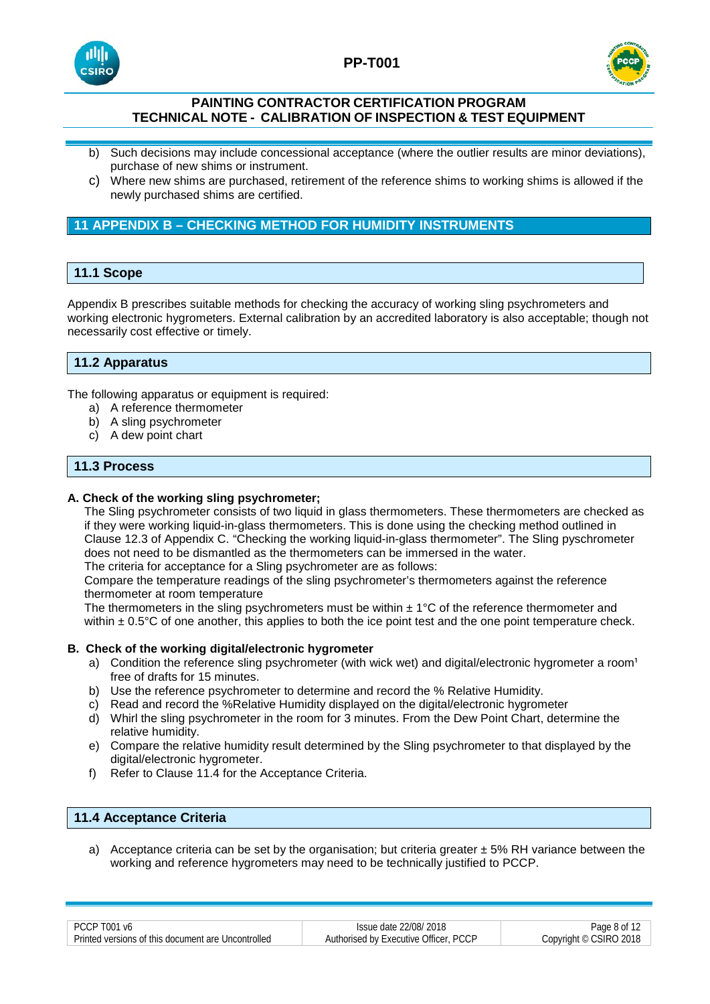





- b) Such decisions may include concessional acceptance (where the outlier results are minor deviations), purchase of new shims or instrument.
- c) Where new shims are purchased, retirement of the reference shims to working shims is allowed if the newly purchased shims are certified.

# **11 APPENDIX B – CHECKING METHOD FOR HUMIDITY INSTRUMENTS**

# **11.1 Scope**

Appendix B prescribes suitable methods for checking the accuracy of working sling psychrometers and working electronic hygrometers. External calibration by an accredited laboratory is also acceptable; though not necessarily cost effective or timely.

# **11.2 Apparatus**

The following apparatus or equipment is required:

- a) A reference thermometer
- b) A sling psychrometer
- c) A dew point chart

# **11.3 Process**

### **A. Check of the working sling psychrometer;**

The Sling psychrometer consists of two liquid in glass thermometers. These thermometers are checked as if they were working liquid-in-glass thermometers. This is done using the checking method outlined in Clause 12.3 of Appendix C. "Checking the working liquid-in-glass thermometer". The Sling pyschrometer does not need to be dismantled as the thermometers can be immersed in the water. The criteria for acceptance for a Sling psychrometer are as follows:

Compare the temperature readings of the sling psychrometer's thermometers against the reference thermometer at room temperature

The thermometers in the sling psychrometers must be within  $\pm 1^{\circ}$ C of the reference thermometer and within  $\pm$  0.5 $^{\circ}$ C of one another, this applies to both the ice point test and the one point temperature check.

#### **B. Check of the working digital/electronic hygrometer**

- a) Condition the reference sling psychrometer (with wick wet) and digital/electronic hygrometer a room<sup>1</sup> free of drafts for 15 minutes.
- b) Use the reference psychrometer to determine and record the % Relative Humidity.
- c) Read and record the %Relative Humidity displayed on the digital/electronic hygrometer
- d) Whirl the sling psychrometer in the room for 3 minutes. From the Dew Point Chart, determine the relative humidity.
- e) Compare the relative humidity result determined by the Sling psychrometer to that displayed by the digital/electronic hygrometer.
- f) Refer to Clause 11.4 for the Acceptance Criteria.

## **11.4 Acceptance Criteria**

a) Acceptance criteria can be set by the organisation; but criteria greater  $\pm$  5% RH variance between the working and reference hygrometers may need to be technically justified to PCCP.

| PCCP T001<br>Μf                                    | Issue date 22/08/2018                 | Page 8 of              |
|----------------------------------------------------|---------------------------------------|------------------------|
| Printed versions of this document are Uncontrolled | Authorised by Executive Officer, PCCP | Copyright © CSIRO 2018 |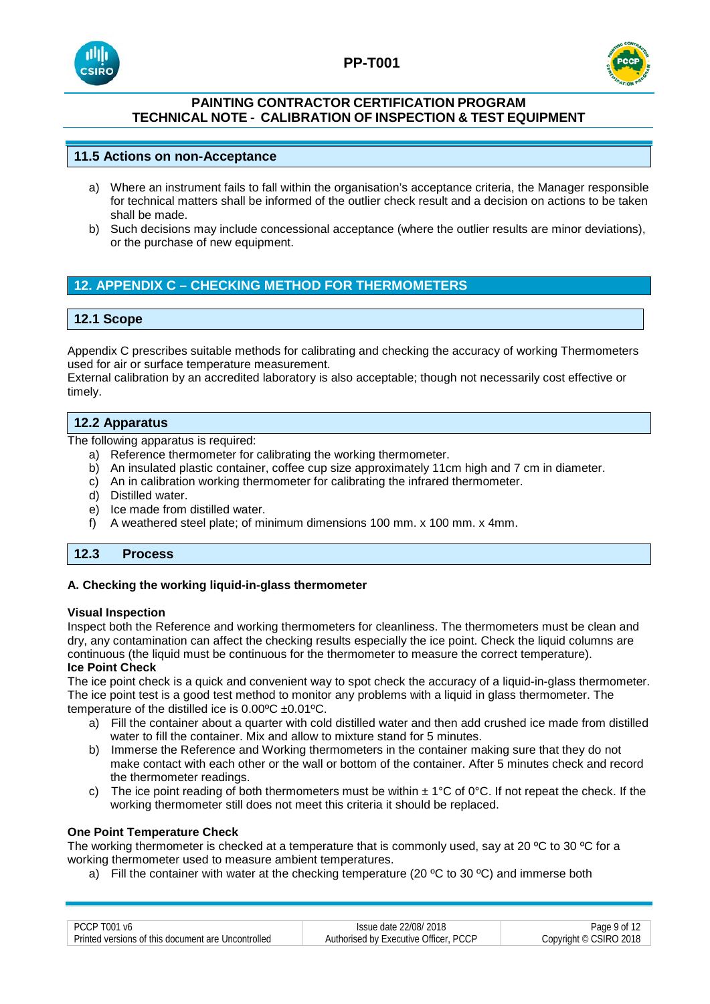





# **11.5 Actions on non-Acceptance**

- a) Where an instrument fails to fall within the organisation's acceptance criteria, the Manager responsible for technical matters shall be informed of the outlier check result and a decision on actions to be taken shall be made.
- b) Such decisions may include concessional acceptance (where the outlier results are minor deviations), or the purchase of new equipment.

# **12. APPENDIX C – CHECKING METHOD FOR THERMOMETERS**

# **12.1 Scope**

Appendix C prescribes suitable methods for calibrating and checking the accuracy of working Thermometers used for air or surface temperature measurement.

External calibration by an accredited laboratory is also acceptable; though not necessarily cost effective or timely.

### **12.2 Apparatus**

The following apparatus is required:

- a) Reference thermometer for calibrating the working thermometer.
- b) An insulated plastic container, coffee cup size approximately 11cm high and 7 cm in diameter.
- c) An in calibration working thermometer for calibrating the infrared thermometer.
- d) Distilled water.
- e) Ice made from distilled water.
- f) A weathered steel plate; of minimum dimensions 100 mm. x 100 mm. x 4mm.

# **12.3 Process**

#### **A. Checking the working liquid-in-glass thermometer**

#### **Visual Inspection**

Inspect both the Reference and working thermometers for cleanliness. The thermometers must be clean and dry, any contamination can affect the checking results especially the ice point. Check the liquid columns are continuous (the liquid must be continuous for the thermometer to measure the correct temperature). **Ice Point Check**

The ice point check is a quick and convenient way to spot check the accuracy of a liquid-in-glass thermometer. The ice point test is a good test method to monitor any problems with a liquid in glass thermometer. The temperature of the distilled ice is  $0.00^{\circ}C \pm 0.01^{\circ}C$ .

- a) Fill the container about a quarter with cold distilled water and then add crushed ice made from distilled water to fill the container. Mix and allow to mixture stand for 5 minutes.
- b) Immerse the Reference and Working thermometers in the container making sure that they do not make contact with each other or the wall or bottom of the container. After 5 minutes check and record the thermometer readings.
- c) The ice point reading of both thermometers must be within  $\pm 1^{\circ}$ C of 0°C. If not repeat the check. If the working thermometer still does not meet this criteria it should be replaced.

### **One Point Temperature Check**

The working thermometer is checked at a temperature that is commonly used, say at 20  $\degree$ C to 30  $\degree$ C for a working thermometer used to measure ambient temperatures.

a) Fill the container with water at the checking temperature (20  $\degree$ C to 30  $\degree$ C) and immerse both

| PCCP T001 v6                                         | Issue date 22/08/2018                 | Page 9 of 12           |
|------------------------------------------------------|---------------------------------------|------------------------|
| - Printed versions of this document are Uncontrolled | Authorised by Executive Officer, PCCP | Copyright © CSIRO 2018 |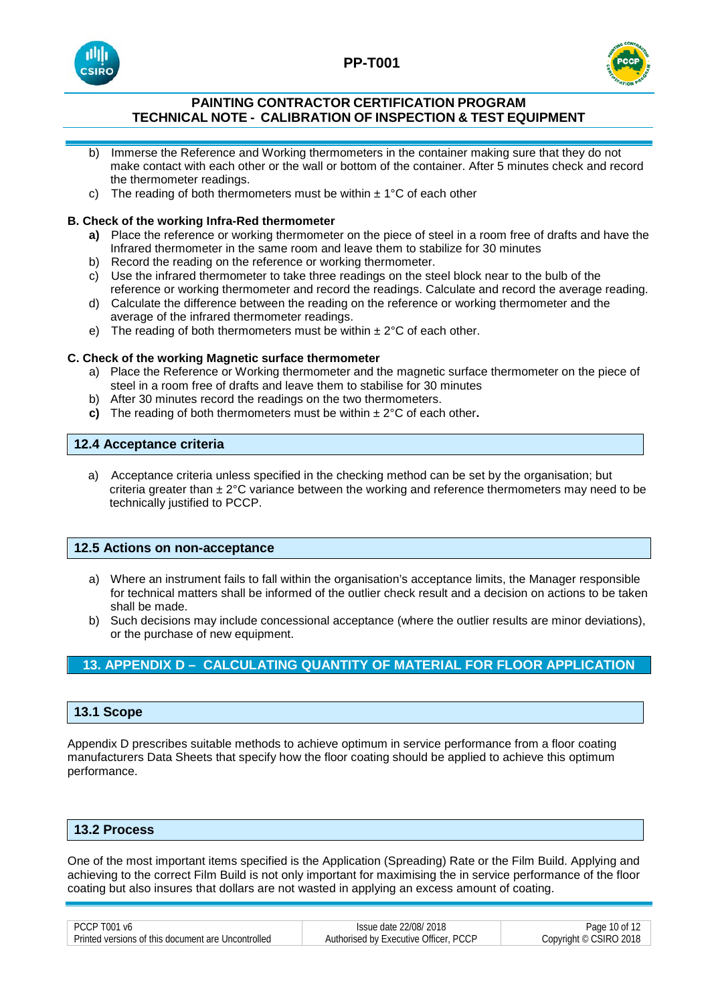





- b) Immerse the Reference and Working thermometers in the container making sure that they do not make contact with each other or the wall or bottom of the container. After 5 minutes check and record the thermometer readings.
- c) The reading of both thermometers must be within  $\pm$  1°C of each other

# **B. Check of the working Infra-Red thermometer**

- **a)** Place the reference or working thermometer on the piece of steel in a room free of drafts and have the Infrared thermometer in the same room and leave them to stabilize for 30 minutes
- b) Record the reading on the reference or working thermometer.
- c) Use the infrared thermometer to take three readings on the steel block near to the bulb of the reference or working thermometer and record the readings. Calculate and record the average reading.
- d) Calculate the difference between the reading on the reference or working thermometer and the average of the infrared thermometer readings.
- e) The reading of both thermometers must be within  $\pm 2^{\circ}$ C of each other.

# **C. Check of the working Magnetic surface thermometer**

- a) Place the Reference or Working thermometer and the magnetic surface thermometer on the piece of steel in a room free of drafts and leave them to stabilise for 30 minutes
- b) After 30 minutes record the readings on the two thermometers.
- **c)** The reading of both thermometers must be within ± 2°C of each other**.**

# **12.4 Acceptance criteria**

a) Acceptance criteria unless specified in the checking method can be set by the organisation; but criteria greater than  $\pm 2^{\circ}$ C variance between the working and reference thermometers may need to be technically justified to PCCP.

# **12.5 Actions on non-acceptance**

- a) Where an instrument fails to fall within the organisation's acceptance limits, the Manager responsible for technical matters shall be informed of the outlier check result and a decision on actions to be taken shall be made.
- b) Such decisions may include concessional acceptance (where the outlier results are minor deviations), or the purchase of new equipment.

# **13. APPENDIX D – CALCULATING QUANTITY OF MATERIAL FOR FLOOR APPLICATION**

# **13.1 Scope**

Appendix D prescribes suitable methods to achieve optimum in service performance from a floor coating manufacturers Data Sheets that specify how the floor coating should be applied to achieve this optimum performance.

## **13.2 Process**

One of the most important items specified is the Application (Spreading) Rate or the Film Build. Applying and achieving to the correct Film Build is not only important for maximising the in service performance of the floor coating but also insures that dollars are not wasted in applying an excess amount of coating.

| DCT<br>чи.<br>Vf                                   | ופחולי<br>: date                                |                                 |
|----------------------------------------------------|-------------------------------------------------|---------------------------------|
| Printed versions of this document are Uncontrolled | <b>PCCP</b><br>Authorised by Executive Officer. | SIRO 2018<br>.opvright<br>. (C) |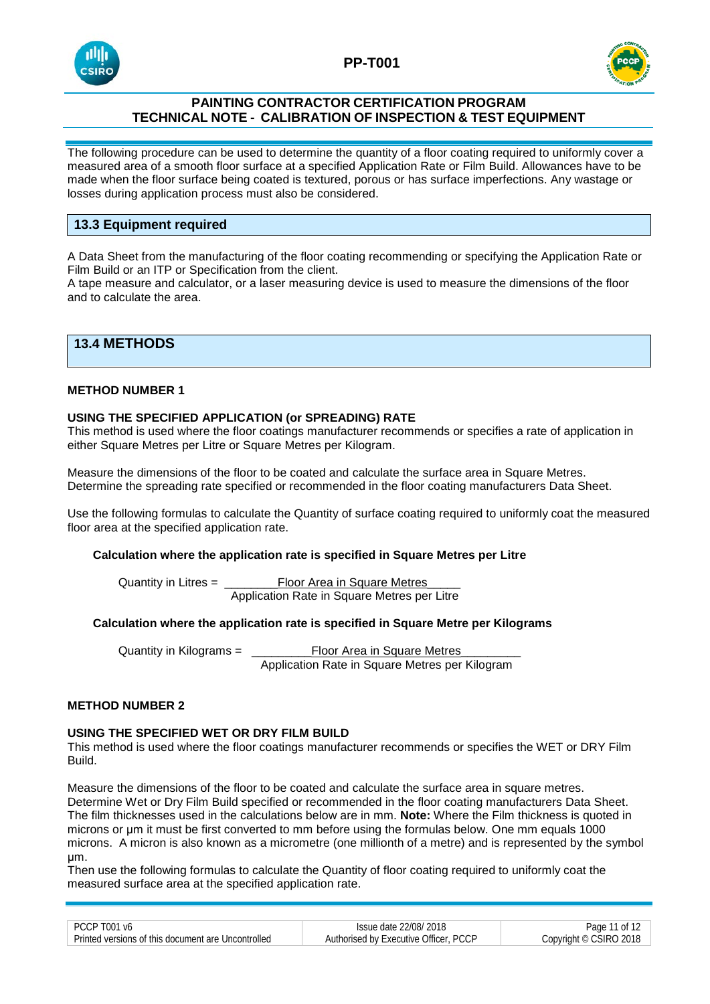





The following procedure can be used to determine the quantity of a floor coating required to uniformly cover a measured area of a smooth floor surface at a specified Application Rate or Film Build. Allowances have to be made when the floor surface being coated is textured, porous or has surface imperfections. Any wastage or losses during application process must also be considered.

# **13.3 Equipment required**

A Data Sheet from the manufacturing of the floor coating recommending or specifying the Application Rate or Film Build or an ITP or Specification from the client.

A tape measure and calculator, or a laser measuring device is used to measure the dimensions of the floor and to calculate the area.

# **13.4 METHODS**

# **METHOD NUMBER 1**

#### **USING THE SPECIFIED APPLICATION (or SPREADING) RATE**

This method is used where the floor coatings manufacturer recommends or specifies a rate of application in either Square Metres per Litre or Square Metres per Kilogram.

Measure the dimensions of the floor to be coated and calculate the surface area in Square Metres. Determine the spreading rate specified or recommended in the floor coating manufacturers Data Sheet.

Use the following formulas to calculate the Quantity of surface coating required to uniformly coat the measured floor area at the specified application rate.

#### **Calculation where the application rate is specified in Square Metres per Litre**

Quantity in Litres = \_\_\_\_\_\_\_\_Floor Area in Square Metres Application Rate in Square Metres per Litre

### **Calculation where the application rate is specified in Square Metre per Kilograms**

Quantity in Kilograms = \_\_\_\_\_\_\_\_\_Floor Area in Square Metres\_\_\_\_\_\_\_\_\_ Application Rate in Square Metres per Kilogram

#### **METHOD NUMBER 2**

#### **USING THE SPECIFIED WET OR DRY FILM BUILD**

This method is used where the floor coatings manufacturer recommends or specifies the WET or DRY Film Build.

Measure the dimensions of the floor to be coated and calculate the surface area in square metres. Determine Wet or Dry Film Build specified or recommended in the floor coating manufacturers Data Sheet. The film thicknesses used in the calculations below are in mm. **Note:** Where the Film thickness is quoted in microns or μm it must be first converted to mm before using the formulas below. One mm equals 1000 microns. A micron is also known as a micrometre (one millionth of a metre) and is represented by the symbol μm.

Then use the following formulas to calculate the Quantity of floor coating required to uniformly coat the measured surface area at the specified application rate.

| PCCP T001 v6                                       | Issue date 22/08/2018                 | 11 of 12<br>Page 1     |
|----------------------------------------------------|---------------------------------------|------------------------|
| Printed versions of this document are Uncontrolled | Authorised by Executive Officer, PCCP | Copyright © CSIRO 2018 |